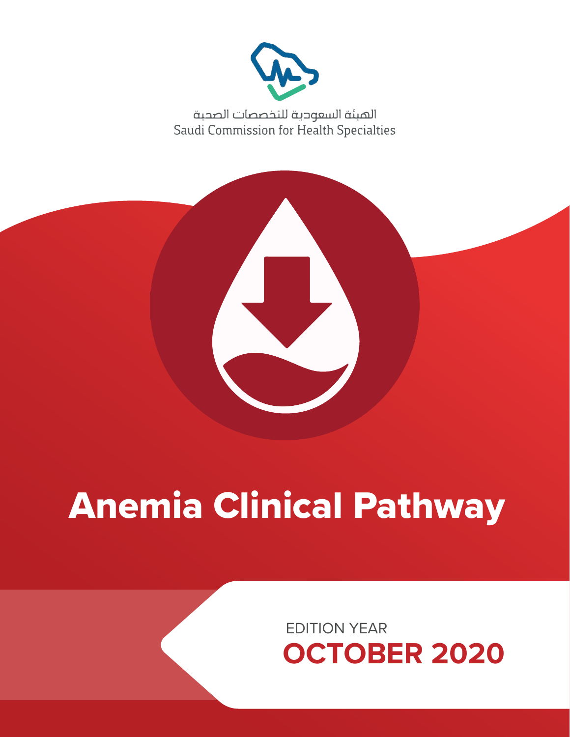

الهيئة السعودية للتخصصات الصحية Saudi Commission for Health Specialties



# Anemia Clinical Pathway

EDITION YEAR **OCTOBER 2020**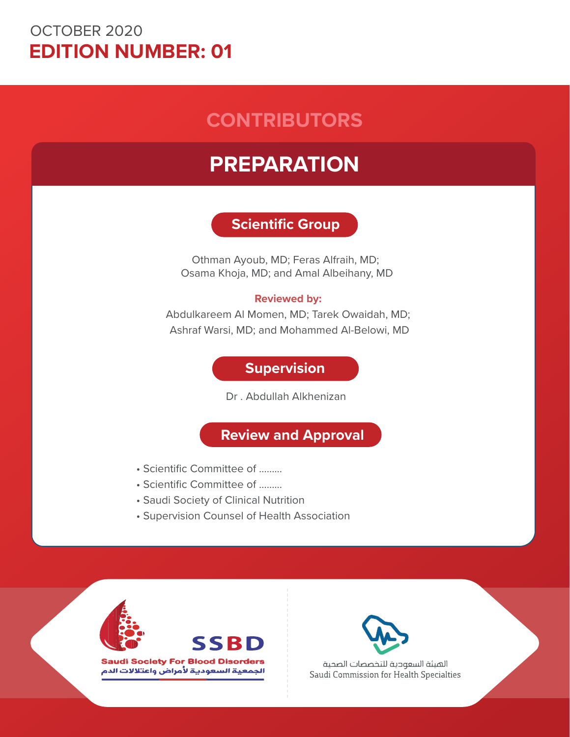# OCTOBER 2020 **EDITION NUMBER: 01**

# **CONTRIBUTORS**

# **PREPARATION**

# **Scientific Group**

Othman Ayoub, MD; Feras Alfraih, MD; Osama Khoja, MD; and Amal Albeihany, MD

## **Reviewed by:**

Abdulkareem Al Momen, MD; Tarek Owaidah, MD; Ashraf Warsi, MD; and Mohammed Al-Belowi, MD

# **Supervision**

Dr . Abdullah Alkhenizan

# **Review and Approval**

- Scientific Committee of ………
- Scientific Committee of ………
- Saudi Society of Clinical Nutrition
- Supervision Counsel of Health Association





**Saudi Society For Blood Disorders** الجمعية السعودية لأمراض واعتلالات الدم



الهيئة السعودية للتخصصات الصحية Saudi Commission for Health Specialties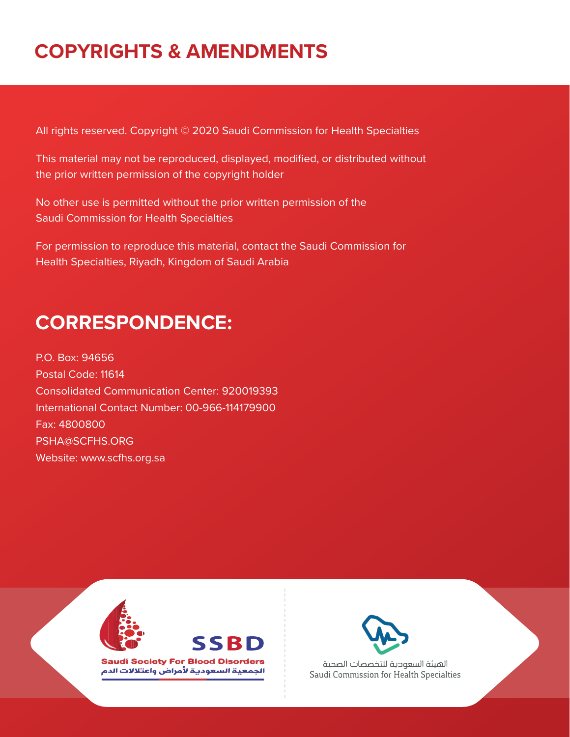# **COPYRIGHTS & AMENDMENTS**

All rights reserved. Copyright © 2020 Saudi Commission for Health Specialties

This material may not be reproduced, displayed, modified, or distributed without the prior written permission of the copyright holder

No other use is permitted without the prior written permission of the Saudi Commission for Health Specialties

For permission to reproduce this material, contact the Saudi Commission for Health Specialties, Riyadh, Kingdom of Saudi Arabia

# **CORRESPONDENCE:**

P.O. Box: 94656 Postal Code: 11614 Consolidated Communication Center: 920019393 International Contact Number: 00-966-114179900 Fax: 4800800 PSHA@SCFHS.ORG Website: www.scfhs.org.sa





**Saudi Society For Blood Disorders** الجمعية السعودية لأمراض واعتلالات الدم



الهيئة السعودية للتخصصات الصحية Saudi Commission for Health Specialties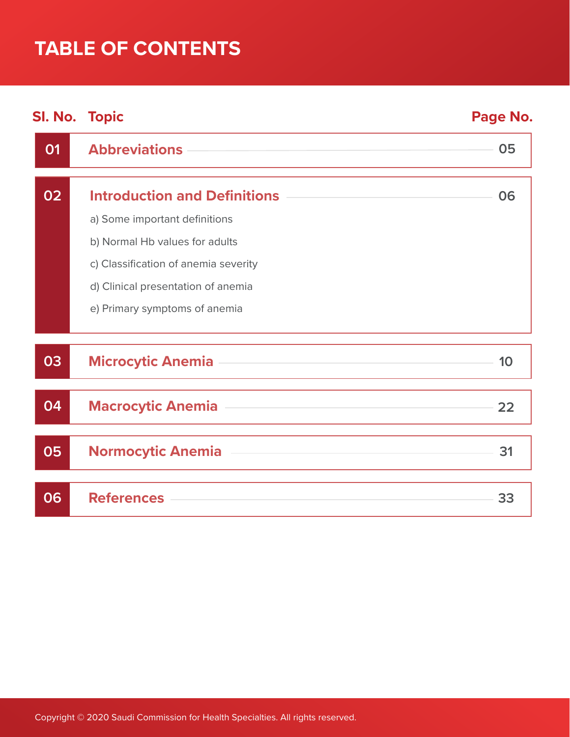# **TABLE OF CONTENTS**

| <b>SI. No. Topic</b> |                                      | Page No. |
|----------------------|--------------------------------------|----------|
| 01                   | <b>Abbreviations</b>                 | 05       |
| 02                   | <b>Introduction and Definitions</b>  | 06       |
|                      | a) Some important definitions        |          |
|                      | b) Normal Hb values for adults       |          |
|                      | c) Classification of anemia severity |          |
|                      | d) Clinical presentation of anemia   |          |
|                      | e) Primary symptoms of anemia        |          |
| 03                   | <b>Microcytic Anemia</b>             | 10       |
| 04                   | <b>Macrocytic Anemia</b>             | 22       |
| 05                   | <b>Normocytic Anemia</b>             | 31       |
| 06                   | <b>References</b>                    | 33       |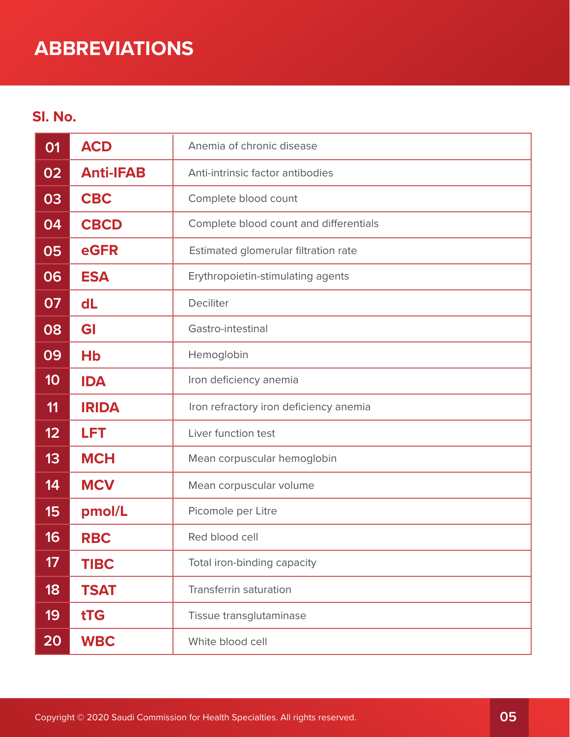# **ABBREVIATIONS**

# **SI. No.**

| 01 | <b>ACD</b>           | Anemia of chronic disease              |
|----|----------------------|----------------------------------------|
| 02 | <b>Anti-IFAB</b>     | Anti-intrinsic factor antibodies       |
| 03 | <b>CBC</b>           | Complete blood count                   |
| 04 | <b>CBCD</b>          | Complete blood count and differentials |
| 05 | eGFR                 | Estimated glomerular filtration rate   |
| 06 | <b>ESA</b>           | Erythropoietin-stimulating agents      |
| 07 | dL                   | Deciliter                              |
| 08 | GI                   | Gastro-intestinal                      |
| 09 | <b>H<sub>b</sub></b> | Hemoglobin                             |
| 10 | <b>IDA</b>           | Iron deficiency anemia                 |
| 11 | <b>IRIDA</b>         | Iron refractory iron deficiency anemia |
| 12 | <b>LFT</b>           | Liver function test                    |
| 13 | <b>MCH</b>           | Mean corpuscular hemoglobin            |
| 14 | <b>MCV</b>           | Mean corpuscular volume                |
| 15 | pmol/L               | Picomole per Litre                     |
| 16 | <b>RBC</b>           | Red blood cell                         |
| 17 | <b>TIBC</b>          | Total iron-binding capacity            |
| 18 | <b>TSAT</b>          | <b>Transferrin saturation</b>          |
| 19 | tTG                  | Tissue transglutaminase                |
| 20 | <b>WBC</b>           | White blood cell                       |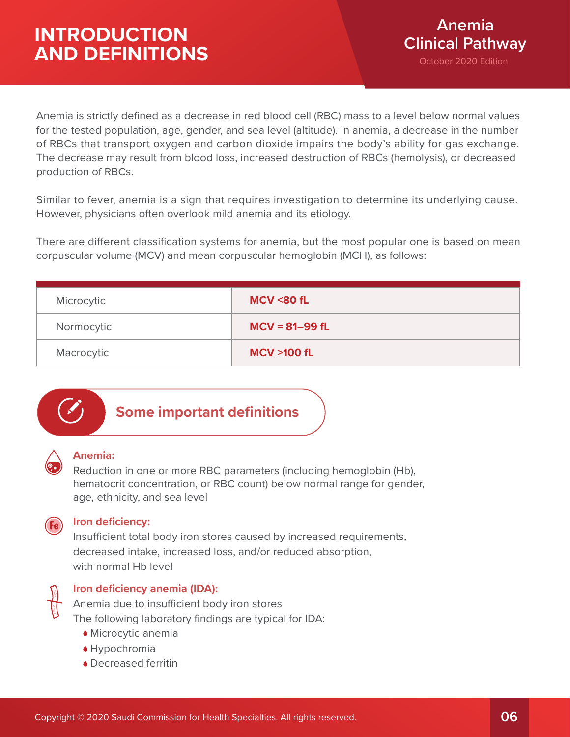Anemia is strictly defined as a decrease in red blood cell (RBC) mass to a level below normal values for the tested population, age, gender, and sea level (altitude). In anemia, a decrease in the number of RBCs that transport oxygen and carbon dioxide impairs the body's ability for gas exchange. The decrease may result from blood loss, increased destruction of RBCs (hemolysis), or decreased production of RBCs.

Similar to fever, anemia is a sign that requires investigation to determine its underlying cause. However, physicians often overlook mild anemia and its etiology.

There are different classification systems for anemia, but the most popular one is based on mean corpuscular volume (MCV) and mean corpuscular hemoglobin (MCH), as follows:

| Microcytic | <b>MCV &lt;80 fL</b>  |
|------------|-----------------------|
| Normocytic | $MCV = 81 - 99 fL$    |
| Macrocytic | <b>MCV &gt;100 fL</b> |



# **Some important definitions**

## **Anemia:**

Reduction in one or more RBC parameters (including hemoglobin (Hb), hematocrit concentration, or RBC count) below normal range for gender, age, ethnicity, and sea level



## **Iron deficiency:**

Insufficient total body iron stores caused by increased requirements, decreased intake, increased loss, and/or reduced absorption, with normal Hb level



## **Iron deficiency anemia (IDA):**

Anemia due to insufficient body iron stores The following laboratory findings are typical for IDA:

- Microcytic anemia
- Hypochromia
- ◆ Decreased ferritin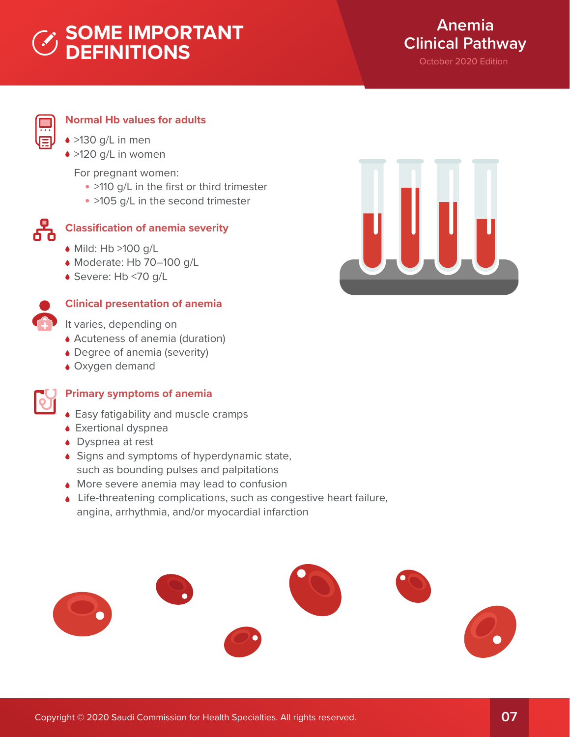# **SOME IMPORTANT DEFINITIONS**



# **Normal Hb values for adults**

- >130 g/L in men
- >120 g/L in women

For pregnant women:

- >110 g/L in the first or third trimester
- >105 g/L in the second trimester



# **Classification of anemia severity**

- $\bullet$  Mild: Hb >100 g/L
- Moderate: Hb 70–100 g/L
- Severe: Hb <70 g/L



# **Clinical presentation of anemia**

- It varies, depending on
- Acuteness of anemia (duration)
- Degree of anemia (severity)
- Oxygen demand



## **Primary symptoms of anemia**

- Easy fatigability and muscle cramps
- Exertional dyspnea
- ◆ Dyspnea at rest
- ◆ Signs and symptoms of hyperdynamic state, such as bounding pulses and palpitations
- **More severe anemia may lead to confusion**
- Life-threatening complications, such as congestive heart failure, angina, arrhythmia, and/or myocardial infarction



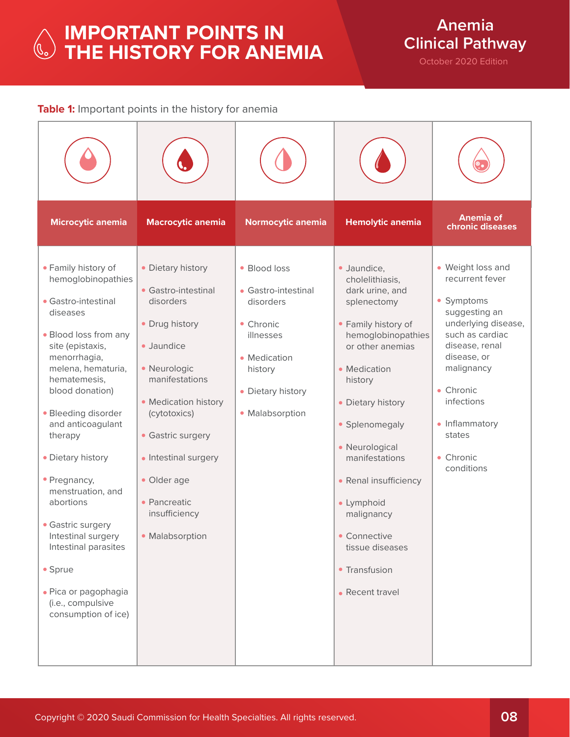# **IMPORTANT POINTS IN THE HISTORY FOR ANEMIA**

**Anemia Clinical Pathway**

October 2020 Edition

## **Table 1:** Important points in the history for anemia

| Microcytic anemia                                                                                                                                                                                                                                                                                                                                                                                                                                                                  | <b>Macrocytic anemia</b>                                                                                                                                                                                                                                                        | Normocytic anemia                                                                                                                             | <b>Hemolytic anemia</b>                                                                                                                                                                                                                                                                                                                                             | <b>Anemia of</b><br>chronic diseases                                                                                                                                                                                                           |
|------------------------------------------------------------------------------------------------------------------------------------------------------------------------------------------------------------------------------------------------------------------------------------------------------------------------------------------------------------------------------------------------------------------------------------------------------------------------------------|---------------------------------------------------------------------------------------------------------------------------------------------------------------------------------------------------------------------------------------------------------------------------------|-----------------------------------------------------------------------------------------------------------------------------------------------|---------------------------------------------------------------------------------------------------------------------------------------------------------------------------------------------------------------------------------------------------------------------------------------------------------------------------------------------------------------------|------------------------------------------------------------------------------------------------------------------------------------------------------------------------------------------------------------------------------------------------|
| • Family history of<br>hemoglobinopathies<br>• Gastro-intestinal<br>diseases<br>• Blood loss from any<br>site (epistaxis,<br>menorrhagia,<br>melena, hematuria,<br>hematemesis,<br>blood donation)<br>• Bleeding disorder<br>and anticoagulant<br>therapy<br>• Dietary history<br>• Pregnancy,<br>menstruation, and<br>abortions<br>• Gastric surgery<br>Intestinal surgery<br>Intestinal parasites<br>• Sprue<br>· Pica or pagophagia<br>(i.e., compulsive<br>consumption of ice) | • Dietary history<br>• Gastro-intestinal<br>disorders<br>• Drug history<br>· Jaundice<br>· Neurologic<br>manifestations<br>• Medication history<br>(cytotoxics)<br>• Gastric surgery<br>• Intestinal surgery<br>· Older age<br>• Pancreatic<br>insufficiency<br>• Malabsorption | • Blood loss<br>• Gastro-intestinal<br>disorders<br>• Chronic<br>illnesses<br>• Medication<br>history<br>• Dietary history<br>• Malabsorption | · Jaundice,<br>cholelithiasis,<br>dark urine, and<br>splenectomy<br>• Family history of<br>hemoglobinopathies<br>or other anemias<br>• Medication<br>history<br>• Dietary history<br>• Splenomegaly<br>• Neurological<br>manifestations<br>• Renal insufficiency<br>· Lymphoid<br>malignancy<br>• Connective<br>tissue diseases<br>• Transfusion<br>• Recent travel | • Weight loss and<br>recurrent fever<br>• Symptoms<br>suggesting an<br>underlying disease,<br>such as cardiac<br>disease, renal<br>disease, or<br>malignancy<br>• Chronic<br>infections<br>• Inflammatory<br>states<br>• Chronic<br>conditions |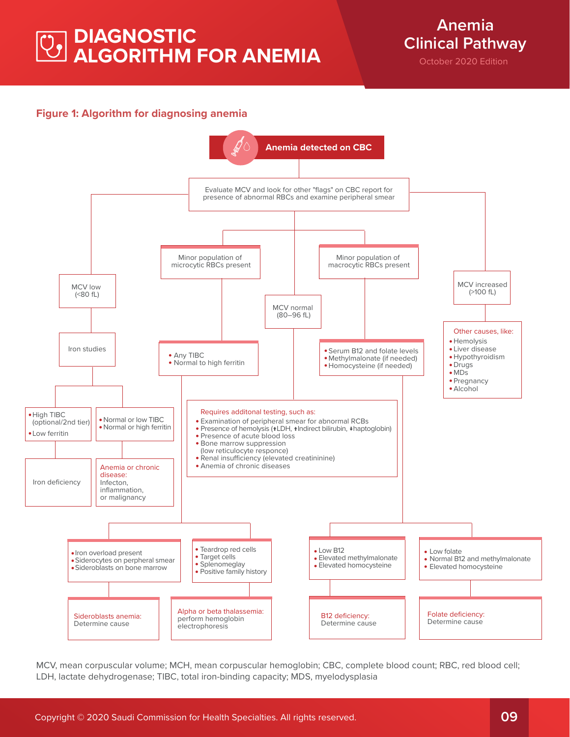# **DIAGNOSTIC ALGORITHM FOR ANEMIA**

**Anemia Clinical Pathway**

October 2020 Edition

## **Figure 1: Algorithm for diagnosing anemia**



MCV, mean corpuscular volume; MCH, mean corpuscular hemoglobin; CBC, complete blood count; RBC, red blood cell; LDH, lactate dehydrogenase; TIBC, total iron-binding capacity; MDS, myelodysplasia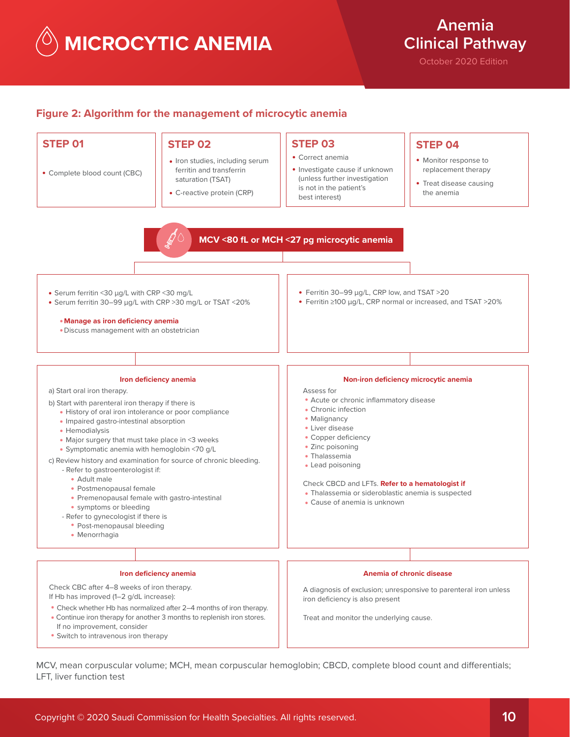**MICROCYTIC ANEMIA**

**Anemia Clinical Pathway**

October 2020 Edition

#### **Figure 2: Algorithm for the management of microcytic anemia**



MCV, mean corpuscular volume; MCH, mean corpuscular hemoglobin; CBCD, complete blood count and differentials; LFT, liver function test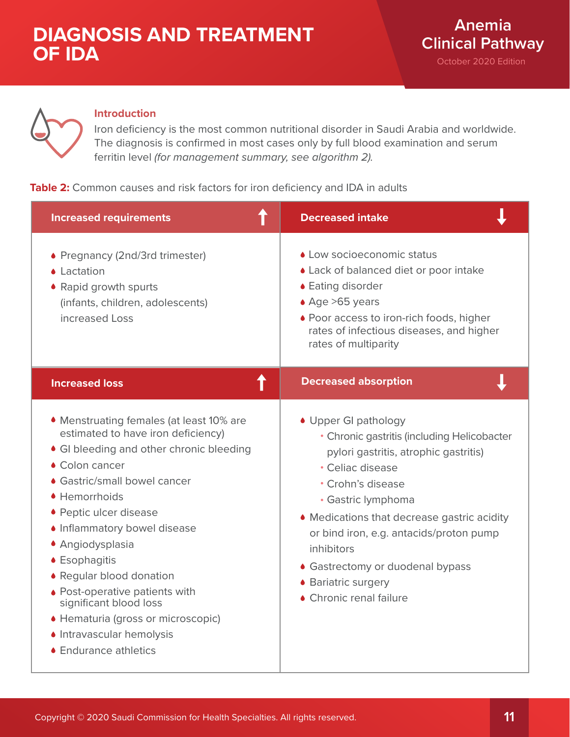

## **Introduction**

Iron deficiency is the most common nutritional disorder in Saudi Arabia and worldwide. The diagnosis is confirmed in most cases only by full blood examination and serum ferritin level *(for management summary, see algorithm 2).*

## **Table 2:** Common causes and risk factors for iron deficiency and IDA in adults

| <b>Increased requirements</b>                                                                                                                                                                                                                                                                                                                                                                                                                                                    | <b>Decreased intake</b>                                                                                                                                                                                                                                                                                                                                                   |
|----------------------------------------------------------------------------------------------------------------------------------------------------------------------------------------------------------------------------------------------------------------------------------------------------------------------------------------------------------------------------------------------------------------------------------------------------------------------------------|---------------------------------------------------------------------------------------------------------------------------------------------------------------------------------------------------------------------------------------------------------------------------------------------------------------------------------------------------------------------------|
| • Pregnancy (2nd/3rd trimester)<br>• Lactation<br>• Rapid growth spurts<br>(infants, children, adolescents)<br>increased Loss                                                                                                                                                                                                                                                                                                                                                    | • Low socioeconomic status<br>• Lack of balanced diet or poor intake<br>• Eating disorder<br>$\triangle$ Age >65 years<br>• Poor access to iron-rich foods, higher<br>rates of infectious diseases, and higher<br>rates of multiparity                                                                                                                                    |
| ↑<br><b>Increased loss</b>                                                                                                                                                                                                                                                                                                                                                                                                                                                       | <b>Decreased absorption</b>                                                                                                                                                                                                                                                                                                                                               |
| • Menstruating females (at least 10% are<br>estimated to have iron deficiency)<br>• GI bleeding and other chronic bleeding<br>• Colon cancer<br>• Gastric/small bowel cancer<br>• Hemorrhoids<br>• Peptic ulcer disease<br>• Inflammatory bowel disease<br>• Angiodysplasia<br>• Esophagitis<br>• Regular blood donation<br>• Post-operative patients with<br>significant blood loss<br>• Hematuria (gross or microscopic)<br>• Intravascular hemolysis<br>• Endurance athletics | • Upper GI pathology<br>• Chronic gastritis (including Helicobacter<br>pylori gastritis, atrophic gastritis)<br>• Celiac disease<br>• Crohn's disease<br>• Gastric lymphoma<br>• Medications that decrease gastric acidity<br>or bind iron, e.g. antacids/proton pump<br>inhibitors<br>• Gastrectomy or duodenal bypass<br>• Bariatric surgery<br>• Chronic renal failure |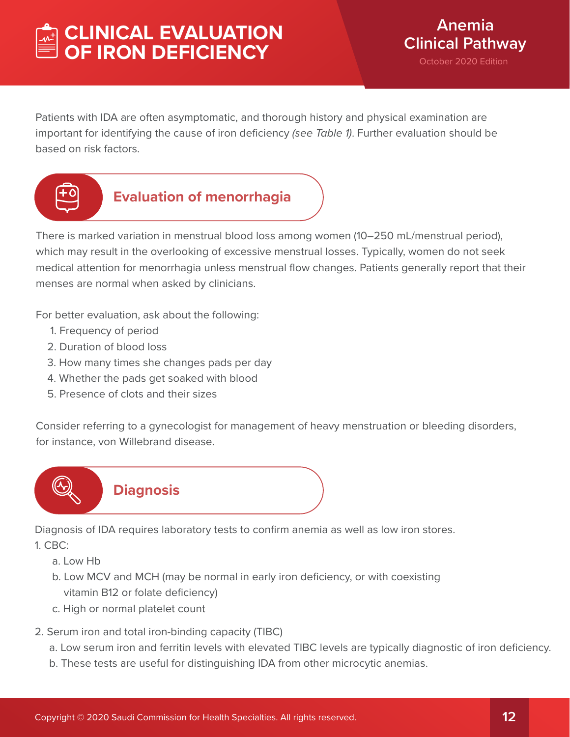# **CLINICAL EVALUATION OF IRON DEFICIENCY**

Patients with IDA are often asymptomatic, and thorough history and physical examination are important for identifying the cause of iron deficiency *(see Table 1)*. Further evaluation should be based on risk factors.



# **Evaluation of menorrhagia**

There is marked variation in menstrual blood loss among women (10–250 mL/menstrual period), which may result in the overlooking of excessive menstrual losses. Typically, women do not seek medical attention for menorrhagia unless menstrual flow changes. Patients generally report that their menses are normal when asked by clinicians.

For better evaluation, ask about the following:

- 1. Frequency of period
- 2. Duration of blood loss
- 3. How many times she changes pads per day
- 4. Whether the pads get soaked with blood
- 5. Presence of clots and their sizes

Consider referring to a gynecologist for management of heavy menstruation or bleeding disorders, for instance, von Willebrand disease.



Diagnosis of IDA requires laboratory tests to confirm anemia as well as low iron stores.

1. CBC:

a. Low Hb

- b. Low MCV and MCH (may be normal in early iron deficiency, or with coexisting vitamin B12 or folate deficiency)
- c. High or normal platelet count
- 2. Serum iron and total iron-binding capacity (TIBC)
	- a. Low serum iron and ferritin levels with elevated TIBC levels are typically diagnostic of iron deficiency.
	- b. These tests are useful for distinguishing IDA from other microcytic anemias.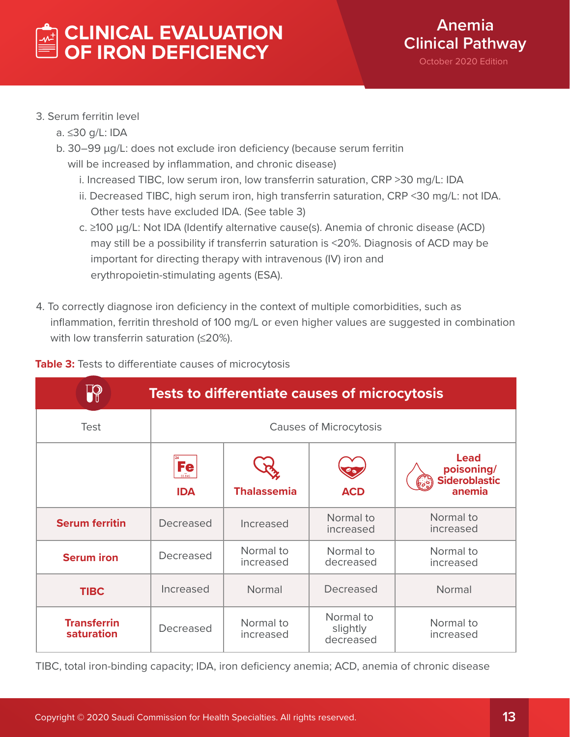# **CLINICAL EVALUATION OF IRON DEFICIENCY**



# 3. Serum ferritin level

- a. ≤30 g/L: IDA
- b. 30-99 µg/L: does not exclude iron deficiency (because serum ferritin will be increased by inflammation, and chronic disease)
	- i. Increased TIBC, low serum iron, low transferrin saturation, CRP >30 mg/L: IDA
	- ii. Decreased TIBC, high serum iron, high transferrin saturation, CRP <30 mg/L: not IDA. Other tests have excluded IDA. (See table 3)
	- c. ≥100 µg/L: Not IDA (Identify alternative cause(s). Anemia of chronic disease (ACD) may still be a possibility if transferrin saturation is <20%. Diagnosis of ACD may be important for directing therapy with intravenous (IV) iron and erythropoietin-stimulating agents (ESA).
- 4. To correctly diagnose iron deficiency in the context of multiple comorbidities, such as inflammation, ferritin threshold of 100 mg/L or even higher values are suggested in combination with low transferrin saturation (≤20%).

| <b>Tests to differentiate causes of microcytosis</b> |                                   |                        |                                    |                                                                     |
|------------------------------------------------------|-----------------------------------|------------------------|------------------------------------|---------------------------------------------------------------------|
| <b>Test</b>                                          | <b>Causes of Microcytosis</b>     |                        |                                    |                                                                     |
|                                                      | <b>Fe</b><br>55.845<br><b>IDA</b> | <b>Thalassemia</b>     | <b>ACD</b>                         | <b>Lead</b><br>poisoning/<br><b>Sideroblastic</b><br>(၁၁)<br>anemia |
| <b>Serum ferritin</b>                                | Decreased                         | Increased              | Normal to<br>increased             | Normal to<br>increased                                              |
| <b>Serum iron</b>                                    | Decreased                         | Normal to<br>increased | Normal to<br>decreased             | Normal to<br>increased                                              |
| <b>TIBC</b>                                          | Increased                         | Normal                 | Decreased                          | Normal                                                              |
| <b>Transferrin</b><br>saturation                     | Decreased                         | Normal to<br>increased | Normal to<br>slightly<br>decreased | Normal to<br>increased                                              |

## **Table 3:** Tests to differentiate causes of microcytosis

TIBC, total iron-binding capacity; IDA, iron deficiency anemia; ACD, anemia of chronic disease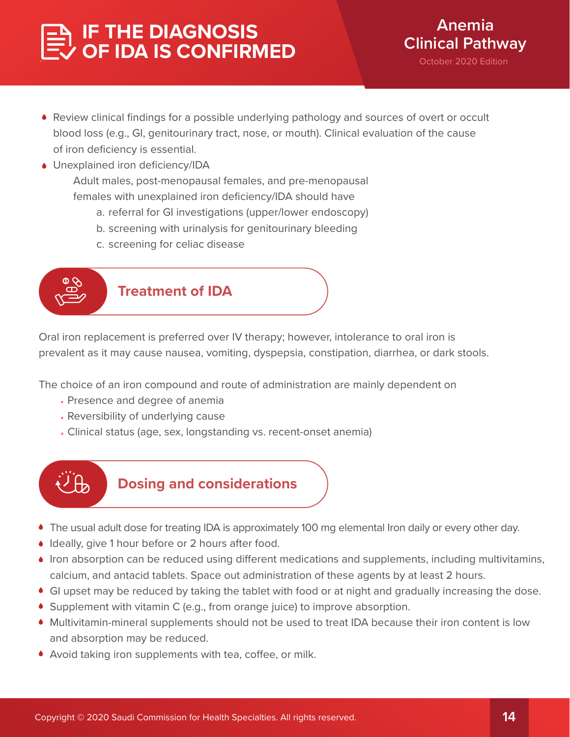# **IF THE DIAGNOSIS OF IDA IS CONFIRMED**

- Review clinical findings for a possible underlying pathology and sources of overt or occult blood loss (e.g., GI, genitourinary tract, nose, or mouth). Clinical evaluation of the cause of iron deficiency is essential.
- Unexplained iron deficiency/IDA

 Adult males, post-menopausal females, and pre-menopausal females with unexplained iron deficiency/IDA should have

- a. referral for GI investigations (upper/lower endoscopy)
- b. screening with urinalysis for genitourinary bleeding
- c. screening for celiac disease



Oral iron replacement is preferred over IV therapy; however, intolerance to oral iron is prevalent as it may cause nausea, vomiting, dyspepsia, constipation, diarrhea, or dark stools.

The choice of an iron compound and route of administration are mainly dependent on

- Presence and degree of anemia
- Reversibility of underlying cause
- Clinical status (age, sex, longstanding vs. recent-onset anemia)



# **Dosing and considerations**

- The usual adult dose for treating IDA is approximately 100 mg elemental Iron daily or every other day.
- Ideally, give 1 hour before or 2 hours after food.
- $\bullet$  Iron absorption can be reduced using different medications and supplements, including multivitamins, calcium, and antacid tablets. Space out administration of these agents by at least 2 hours.
- GI upset may be reduced by taking the tablet with food or at night and gradually increasing the dose.
- Supplement with vitamin C (e.g., from orange juice) to improve absorption.
- Multivitamin-mineral supplements should not be used to treat IDA because their iron content is low and absorption may be reduced.
- $\blacklozenge$  Avoid taking iron supplements with tea, coffee, or milk.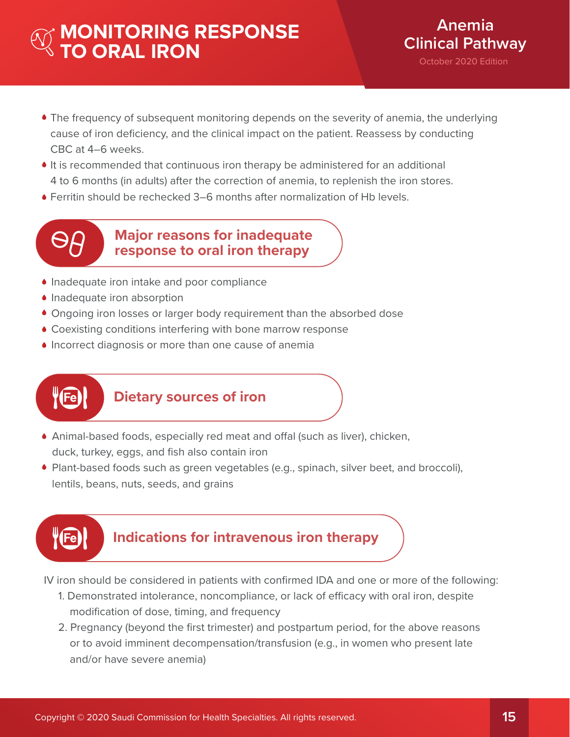# **MONITORING RESPONSE TO ORAL IRON**

- The frequency of subsequent monitoring depends on the severity of anemia, the underlying cause of iron deficiency, and the clinical impact on the patient. Reassess by conducting CBC at 4–6 weeks.
- It is recommended that continuous iron therapy be administered for an additional 4 to 6 months (in adults) after the correction of anemia, to replenish the iron stores.
- Ferritin should be rechecked 3–6 months after normalization of Hb levels.



**Major reasons for inadequate response to oral iron therapy**

- Inadequate iron intake and poor compliance
- **Inadequate iron absorption**
- Ongoing iron losses or larger body requirement than the absorbed dose
- Coexisting conditions interfering with bone marrow response
- **Incorrect diagnosis or more than one cause of anemia**



# **Dietary sources of iron**

- $\bullet$  Animal-based foods, especially red meat and offal (such as liver), chicken, duck, turkey, eggs, and fish also contain iron
- Plant-based foods such as green vegetables (e.g., spinach, silver beet, and broccoli), lentils, beans, nuts, seeds, and grains



# **Indications for intravenous iron therapy**

IV iron should be considered in patients with confirmed IDA and one or more of the following:

- 1. Demonstrated intolerance, noncompliance, or lack of efficacy with oral iron, despite modification of dose, timing, and frequency
- 2. Pregnancy (beyond the first trimester) and postpartum period, for the above reasons or to avoid imminent decompensation/transfusion (e.g., in women who present late and/or have severe anemia)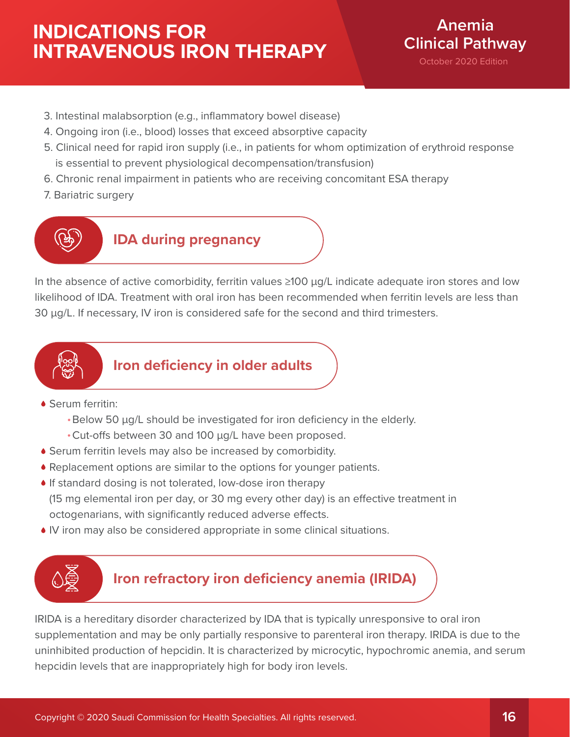# **INDICATIONS FOR INTRAVENOUS IRON THERAPY**



October 2020 Edition

- 3. Intestinal malabsorption (e.g., inflammatory bowel disease)
- 4. Ongoing iron (i.e., blood) losses that exceed absorptive capacity
- 5. Clinical need for rapid iron supply (i.e., in patients for whom optimization of erythroid response is essential to prevent physiological decompensation/transfusion)
- 6. Chronic renal impairment in patients who are receiving concomitant ESA therapy
- 7. Bariatric surgery



**IDA during pregnancy**

In the absence of active comorbidity, ferritin values ≥100 µg/L indicate adequate iron stores and low likelihood of IDA. Treatment with oral iron has been recommended when ferritin levels are less than 30 µg/L. If necessary, IV iron is considered safe for the second and third trimesters.



**Iron deficiency in older adults**

- Serum ferritin:
	- Below 50 µg/L should be investigated for iron deficiency in the elderly.
	- Cut-offs between 30 and 100 µg/L have been proposed.
- Serum ferritin levels may also be increased by comorbidity.
- Replacement options are similar to the options for younger patients.
- If standard dosing is not tolerated, low-dose iron therapy
- $(15 \text{ mg}$  elemental iron per day, or 30 mg every other day) is an effective treatment in octogenarians, with significantly reduced adverse effects.
- IV iron may also be considered appropriate in some clinical situations.



# **Iron refractory iron deficiency anemia (IRIDA)**

IRIDA is a hereditary disorder characterized by IDA that is typically unresponsive to oral iron supplementation and may be only partially responsive to parenteral iron therapy. IRIDA is due to the uninhibited production of hepcidin. It is characterized by microcytic, hypochromic anemia, and serum hepcidin levels that are inappropriately high for body iron levels.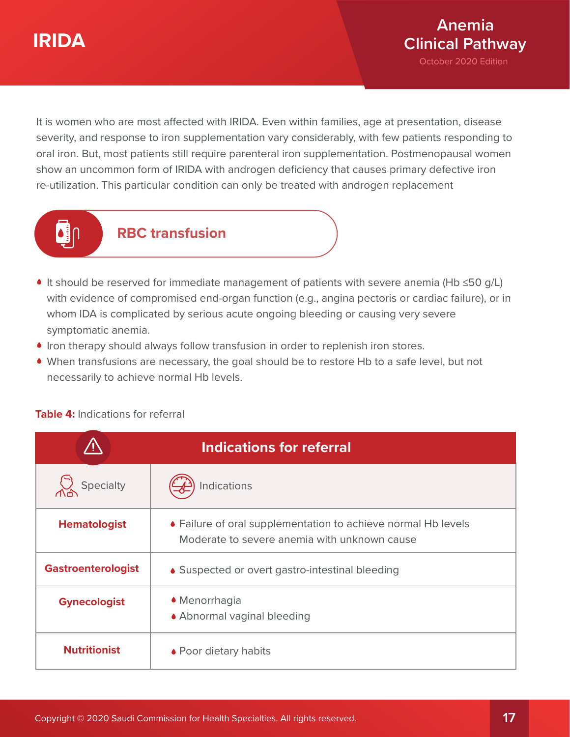# **IRIDA**



It is women who are most affected with IRIDA. Even within families, age at presentation, disease severity, and response to iron supplementation vary considerably, with few patients responding to oral iron. But, most patients still require parenteral iron supplementation. Postmenopausal women show an uncommon form of IRIDA with androgen deficiency that causes primary defective iron re-utilization. This particular condition can only be treated with androgen replacement



# **RBC transfusion**

- It should be reserved for immediate management of patients with severe anemia (Hb ≤50 g/L) with evidence of compromised end-organ function (e.g., angina pectoris or cardiac failure), or in whom IDA is complicated by serious acute ongoing bleeding or causing very severe symptomatic anemia.
- Iron therapy should always follow transfusion in order to replenish iron stores.
- When transfusions are necessary, the goal should be to restore Hb to a safe level, but not necessarily to achieve normal Hb levels.

|                           | <b>Indications for referral</b>                                                                               |
|---------------------------|---------------------------------------------------------------------------------------------------------------|
| Specialty                 | Indications                                                                                                   |
| <b>Hematologist</b>       | • Failure of oral supplementation to achieve normal Hb levels<br>Moderate to severe anemia with unknown cause |
| <b>Gastroenterologist</b> | • Suspected or overt gastro-intestinal bleeding                                                               |
| <b>Gynecologist</b>       | • Menorrhagia<br>• Abnormal vaginal bleeding                                                                  |
| <b>Nutritionist</b>       | • Poor dietary habits                                                                                         |

## **Table 4:** Indications for referral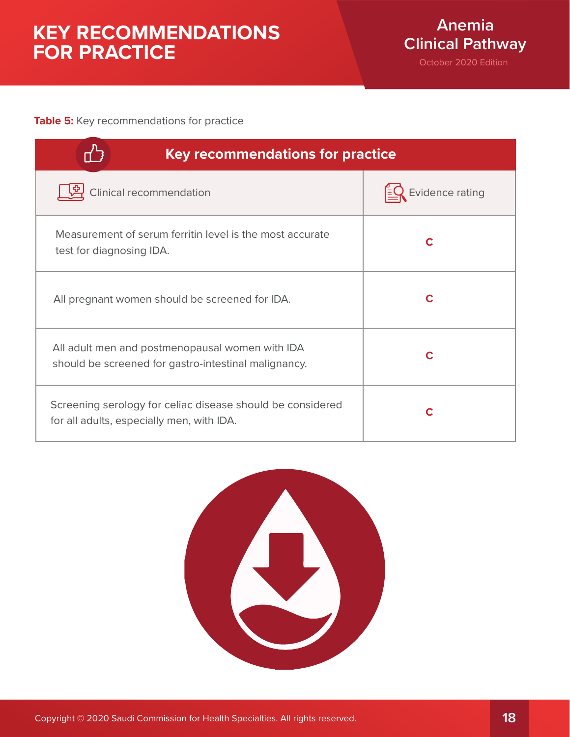# **KEY RECOMMENDATIONS FOR PRACTICE**

## **Table 5:** Key recommendations for practice

| <b>Key recommendations for practice</b>                                                                 |                 |  |
|---------------------------------------------------------------------------------------------------------|-----------------|--|
| Clinical recommendation                                                                                 | Evidence rating |  |
| Measurement of serum ferritin level is the most accurate<br>test for diagnosing IDA.                    | C               |  |
| All pregnant women should be screened for IDA.                                                          | C               |  |
| All adult men and postmenopausal women with IDA<br>should be screened for gastro-intestinal malignancy. |                 |  |
| Screening serology for celiac disease should be considered<br>for all adults, especially men, with IDA. |                 |  |

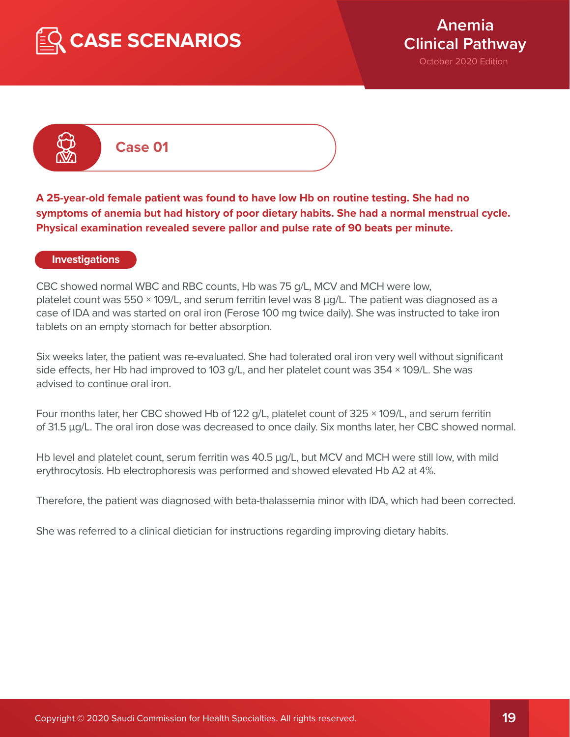



**Case 01**

**A 25-year-old female patient was found to have low Hb on routine testing. She had no symptoms of anemia but had history of poor dietary habits. She had a normal menstrual cycle. Physical examination revealed severe pallor and pulse rate of 90 beats per minute.**

#### **Investigations**

CBC showed normal WBC and RBC counts, Hb was 75 g/L, MCV and MCH were low, platelet count was  $550 \times 109/L$ , and serum ferritin level was 8  $\mu q/L$ . The patient was diagnosed as a case of IDA and was started on oral iron (Ferose 100 mg twice daily). She was instructed to take iron tablets on an empty stomach for better absorption.

Six weeks later, the patient was re-evaluated. She had tolerated oral iron very well without significant side effects, her Hb had improved to 103 g/L, and her platelet count was  $354 \times 109$ /L. She was advised to continue oral iron.

Four months later, her CBC showed Hb of 122 g/L, platelet count of 325 × 109/L, and serum ferritin of 31.5 µg/L. The oral iron dose was decreased to once daily. Six months later, her CBC showed normal.

Hb level and platelet count, serum ferritin was 40.5 µg/L, but MCV and MCH were still low, with mild erythrocytosis. Hb electrophoresis was performed and showed elevated Hb A2 at 4%.

Therefore, the patient was diagnosed with beta-thalassemia minor with IDA, which had been corrected.

She was referred to a clinical dietician for instructions regarding improving dietary habits.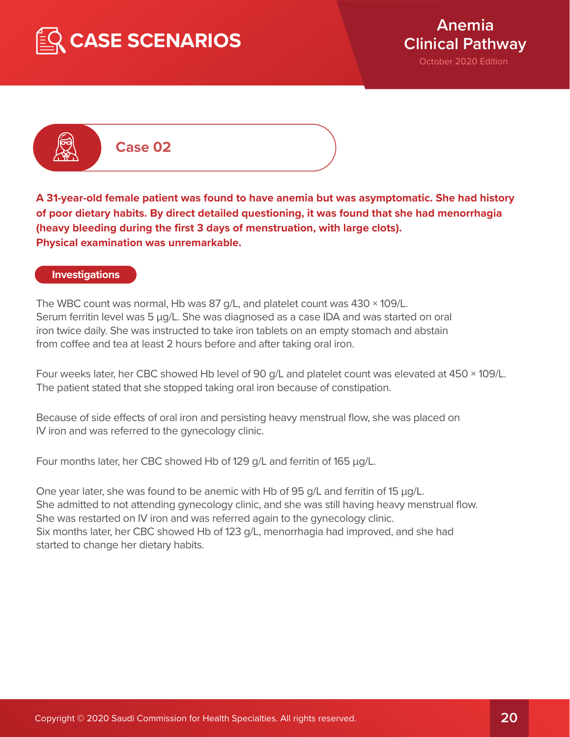



# **Case 02**

**A 31-year-old female patient was found to have anemia but was asymptomatic. She had history of poor dietary habits. By direct detailed questioning, it was found that she had menorrhagia (heavy bleeding during the first 3 days of menstruation, with large clots). Physical examination was unremarkable.**

#### **Investigations**

The WBC count was normal, Hb was 87 g/L, and platelet count was 430 × 109/L. Serum ferritin level was 5 µg/L. She was diagnosed as a case IDA and was started on oral iron twice daily. She was instructed to take iron tablets on an empty stomach and abstain from coffee and tea at least 2 hours before and after taking oral iron.

Four weeks later, her CBC showed Hb level of 90 g/L and platelet count was elevated at 450 × 109/L. The patient stated that she stopped taking oral iron because of constipation.

Because of side effects of oral iron and persisting heavy menstrual flow, she was placed on IV iron and was referred to the gynecology clinic.

Four months later, her CBC showed Hb of 129 g/L and ferritin of 165 µg/L.

One year later, she was found to be anemic with Hb of 95 g/L and ferritin of 15 µg/L. She admitted to not attending gynecology clinic, and she was still having heavy menstrual flow. She was restarted on IV iron and was referred again to the gynecology clinic. Six months later, her CBC showed Hb of 123 g/L, menorrhagia had improved, and she had started to change her dietary habits.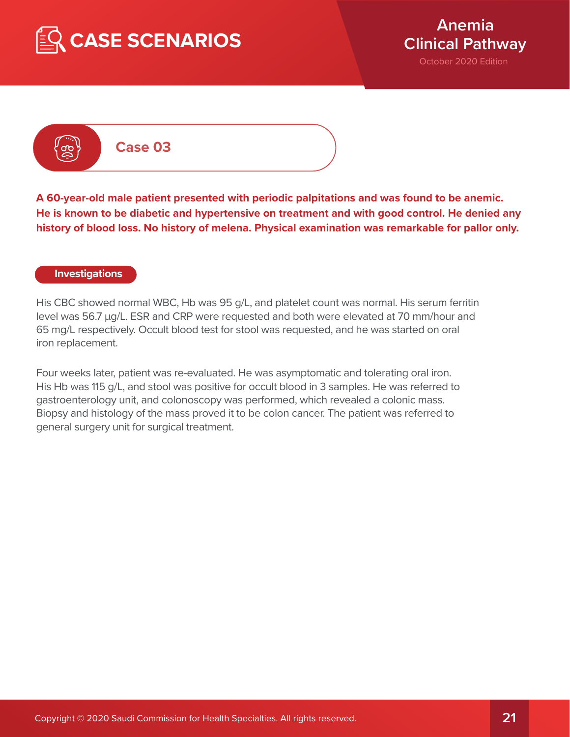



# **Case 03**

**A 60-year-old male patient presented with periodic palpitations and was found to be anemic. He is known to be diabetic and hypertensive on treatment and with good control. He denied any history of blood loss. No history of melena. Physical examination was remarkable for pallor only.**

#### **Investigations**

His CBC showed normal WBC, Hb was 95 g/L, and platelet count was normal. His serum ferritin level was 56.7 μg/L. ESR and CRP were requested and both were elevated at 70 mm/hour and 65 mg/L respectively. Occult blood test for stool was requested, and he was started on oral iron replacement.

Four weeks later, patient was re-evaluated. He was asymptomatic and tolerating oral iron. His Hb was 115 g/L, and stool was positive for occult blood in 3 samples. He was referred to gastroenterology unit, and colonoscopy was performed, which revealed a colonic mass. Biopsy and histology of the mass proved it to be colon cancer. The patient was referred to general surgery unit for surgical treatment.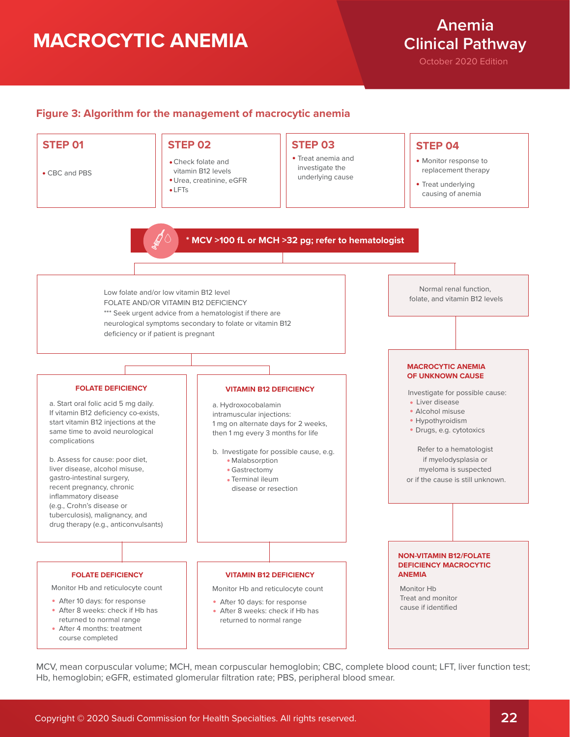# **MACROCYTIC ANEMIA**

# **Anemia Clinical Pathway**

October 2020 Edition

### **Figure 3: Algorithm for the management of macrocytic anemia**



MCV, mean corpuscular volume; MCH, mean corpuscular hemoglobin; CBC, complete blood count; LFT, liver function test; Hb, hemoglobin; eGFR, estimated glomerular filtration rate; PBS, peripheral blood smear.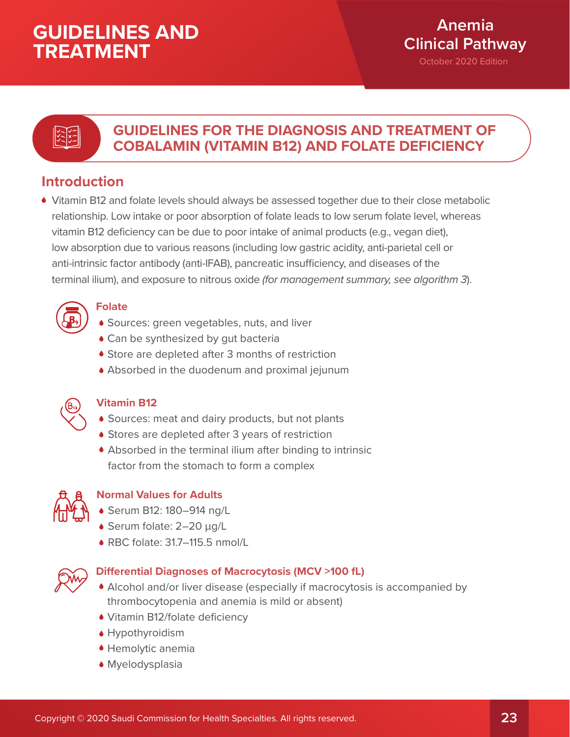# **Anemia Clinical Pathway**

October 2020 Edition

# とこ

# **GUIDELINES FOR THE DIAGNOSIS AND TREATMENT OF COBALAMIN (VITAMIN B12) AND FOLATE DEFICIENCY**

# **Introduction**

Vitamin B12 and folate levels should always be assessed together due to their close metabolic relationship. Low intake or poor absorption of folate leads to low serum folate level, whereas vitamin B12 deficiency can be due to poor intake of animal products (e.g., vegan diet), low absorption due to various reasons (including low gastric acidity, anti-parietal cell or anti-intrinsic factor antibody (anti-IFAB), pancreatic insufficiency, and diseases of the terminal ilium), and exposure to nitrous oxide *(for management summary, see algorithm 3*).



# **Folate**

- Sources: green vegetables, nuts, and liver
- ◆ Can be synthesized by gut bacteria
- Store are depleted after 3 months of restriction
- Absorbed in the duodenum and proximal jejunum



## **Vitamin B12**

- Sources: meat and dairy products, but not plants
- Stores are depleted after 3 years of restriction
- Absorbed in the terminal ilium after binding to intrinsic factor from the stomach to form a complex



# **Normal Values for Adults**

- Serum B12: 180–914 ng/L
- Serum folate:  $2-20 \mu g/L$
- RBC folate: 31.7–115.5 nmol/L



## **Differential Diagnoses of Macrocytosis (MCV >100 fL)**

- Alcohol and/or liver disease (especially if macrocytosis is accompanied by thrombocytopenia and anemia is mild or absent)
- Vitamin B12/folate deficiency
- Hypothyroidism
- Hemolytic anemia
- Myelodysplasia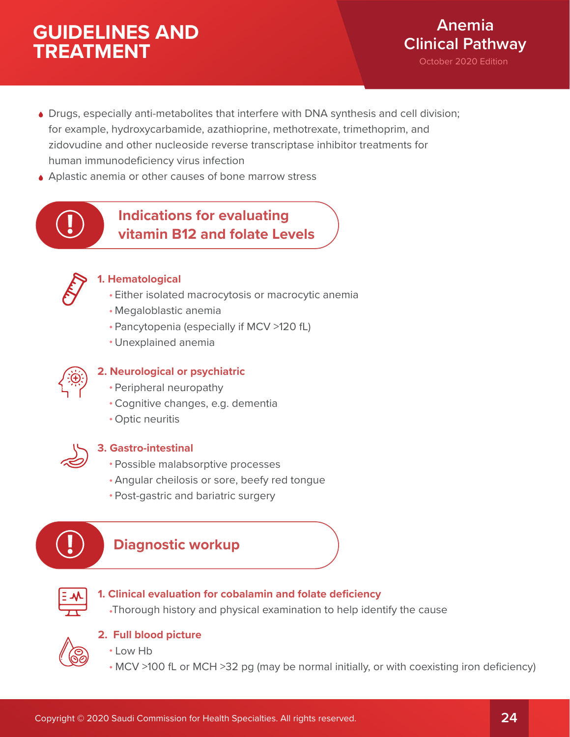

- Drugs, especially anti-metabolites that interfere with DNA synthesis and cell division; for example, hydroxycarbamide, azathioprine, methotrexate, trimethoprim, and zidovudine and other nucleoside reverse transcriptase inhibitor treatments for human immunodeficiency virus infection
- ◆ Aplastic anemia or other causes of bone marrow stress



# **Indications for evaluating vitamin B12 and folate Levels**



## **1. Hematological**

- Either isolated macrocytosis or macrocytic anemia
- Megaloblastic anemia
- Pancytopenia (especially if MCV >120 fL)
- Unexplained anemia



## **2. Neurological or psychiatric**

- Peripheral neuropathy
- Cognitive changes, e.g. dementia
- Optic neuritis



## **3. Gastro-intestinal**

- Possible malabsorptive processes
- Angular cheilosis or sore, beefy red tongue
- Post-gastric and bariatric surgery



# **Diagnostic workup**



### **1. Clinical evaluation for cobalamin and folate deficiency**

Thorough history and physical examination to help identify the cause



## **2. Full blood picture**

- Low Hb
- MCV >100 fL or MCH >32 pg (may be normal initially, or with coexisting iron deficiency)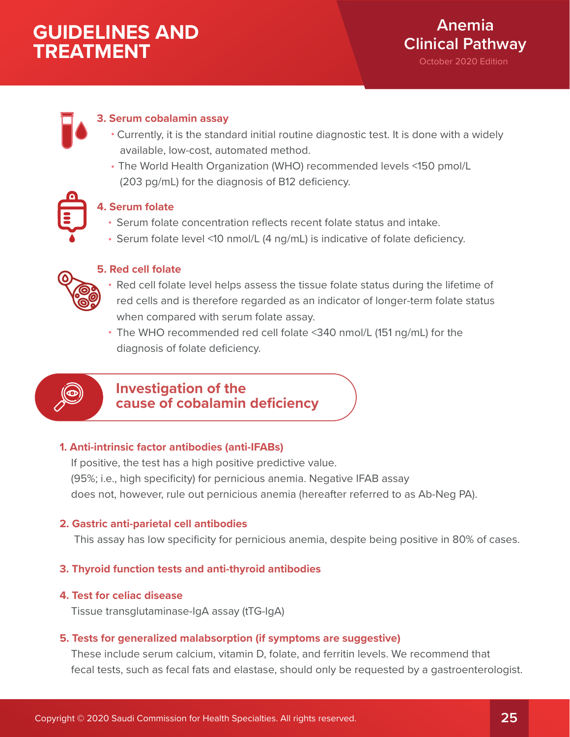# **3. Serum cobalamin assay**

- Currently, it is the standard initial routine diagnostic test. It is done with a widely available, low-cost, automated method.
- The World Health Organization (WHO) recommended levels <150 pmol/L (203 pg/mL) for the diagnosis of B12 deficiency.



## **4. Serum folate**

- Serum folate concentration reflects recent folate status and intake.
- Serum folate level <10 nmol/L (4 ng/mL) is indicative of folate deficiency.



## **5. Red cell folate**

- Red cell folate level helps assess the tissue folate status during the lifetime of red cells and is therefore regarded as an indicator of longer-term folate status when compared with serum folate assay.
- The WHO recommended red cell folate <340 nmol/L (151 ng/mL) for the diagnosis of folate deficiency.



# **Investigation of the cause of cobalamin deficiency**

## **1. Anti-intrinsic factor antibodies (anti-IFABs)**

 If positive, the test has a high positive predictive value. (95%; i.e., high specificity) for pernicious anemia. Negative IFAB assay does not, however, rule out pernicious anemia (hereafter referred to as Ab-Neg PA).

## **2. Gastric anti-parietal cell antibodies**

This assay has low specificity for pernicious anemia, despite being positive in 80% of cases.

## **3. Thyroid function tests and anti-thyroid antibodies**

## **4. Test for celiac disease**

Tissue transglutaminase-IgA assay (tTG-IgA)

## **5. Tests for generalized malabsorption (if symptoms are suggestive)**

 These include serum calcium, vitamin D, folate, and ferritin levels. We recommend that fecal tests, such as fecal fats and elastase, should only be requested by a gastroenterologist.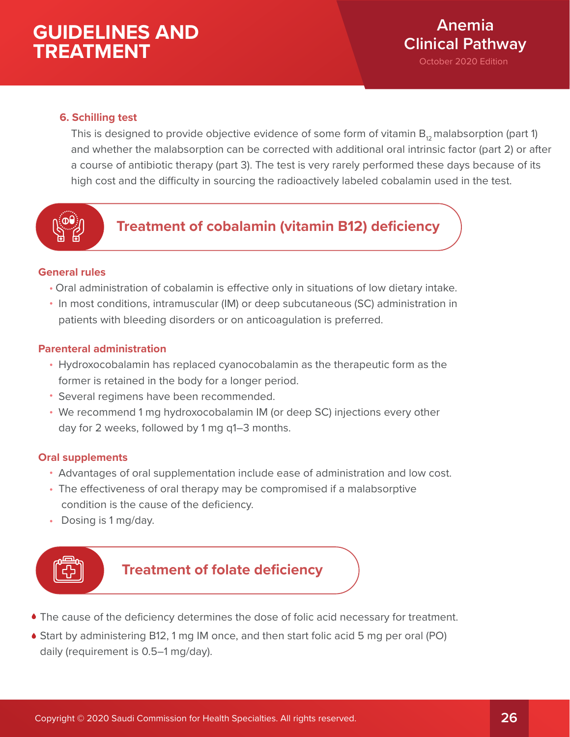## **6. Schilling test**

This is designed to provide objective evidence of some form of vitamin  $B_{12}$  malabsorption (part 1) and whether the malabsorption can be corrected with additional oral intrinsic factor (part 2) or after a course of antibiotic therapy (part 3). The test is very rarely performed these days because of its high cost and the difficulty in sourcing the radioactively labeled cobalamin used in the test.



# **Treatment of cobalamin (vitamin B12) deficiency**

### **General rules**

- Oral administration of cobalamin is effective only in situations of low dietary intake.
- In most conditions, intramuscular (IM) or deep subcutaneous (SC) administration in patients with bleeding disorders or on anticoagulation is preferred.

### **Parenteral administration**

- Hydroxocobalamin has replaced cyanocobalamin as the therapeutic form as the former is retained in the body for a longer period.
- Several regimens have been recommended.
- We recommend 1 mg hydroxocobalamin IM (or deep SC) injections every other day for 2 weeks, followed by 1 mg q1–3 months.

## **Oral supplements**

- Advantages of oral supplementation include ease of administration and low cost.
- The effectiveness of oral therapy may be compromised if a malabsorptive condition is the cause of the deficiency.
- Dosing is 1 mg/day.



# **Treatment of folate deficiency**

- The cause of the deficiency determines the dose of folic acid necessary for treatment.
- Start by administering B12, 1 mg IM once, and then start folic acid 5 mg per oral (PO) daily (requirement is 0.5–1 mg/day).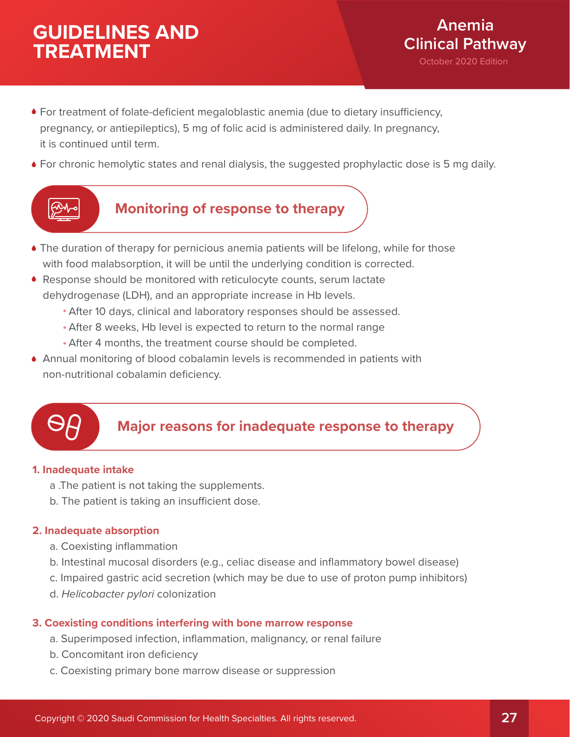- For treatment of folate-deficient megaloblastic anemia (due to dietary insufficiency, pregnancy, or antiepileptics), 5 mg of folic acid is administered daily. In pregnancy, it is continued until term.
- For chronic hemolytic states and renal dialysis, the suggested prophylactic dose is 5 mg daily.



# **Monitoring of response to therapy**

- The duration of therapy for pernicious anemia patients will be lifelong, while for those with food malabsorption, it will be until the underlying condition is corrected.
- Response should be monitored with reticulocyte counts, serum lactate dehydrogenase (LDH), and an appropriate increase in Hb levels.
	- After 10 days, clinical and laboratory responses should be assessed.
	- After 8 weeks, Hb level is expected to return to the normal range
	- After 4 months, the treatment course should be completed.
- Annual monitoring of blood cobalamin levels is recommended in patients with non-nutritional cobalamin deficiency.



# **Major reasons for inadequate response to therapy**

### **1. Inadequate intake**

- a .The patient is not taking the supplements.
- b. The patient is taking an insufficient dose.

## **2. Inadequate absorption**

- a. Coexisting inflammation
- b. Intestinal mucosal disorders (e.g., celiac disease and inflammatory bowel disease)
- c. Impaired gastric acid secretion (which may be due to use of proton pump inhibitors)
- d. *Helicobacter pylori* colonization

## **3. Coexisting conditions interfering with bone marrow response**

- a. Superimposed infection, inflammation, malignancy, or renal failure
- b. Concomitant iron deficiency
- c. Coexisting primary bone marrow disease or suppression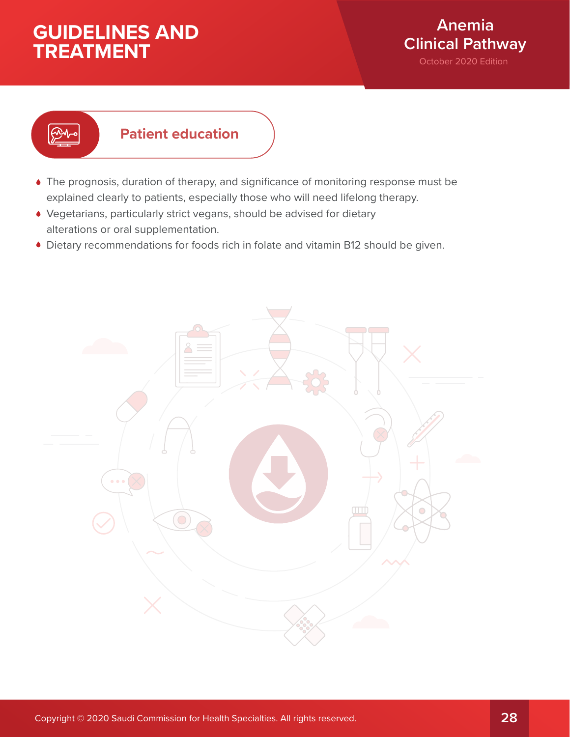

# **Patient education**

- The prognosis, duration of therapy, and significance of monitoring response must be explained clearly to patients, especially those who will need lifelong therapy.
- Vegetarians, particularly strict vegans, should be advised for dietary alterations or oral supplementation.
- Dietary recommendations for foods rich in folate and vitamin B12 should be given.

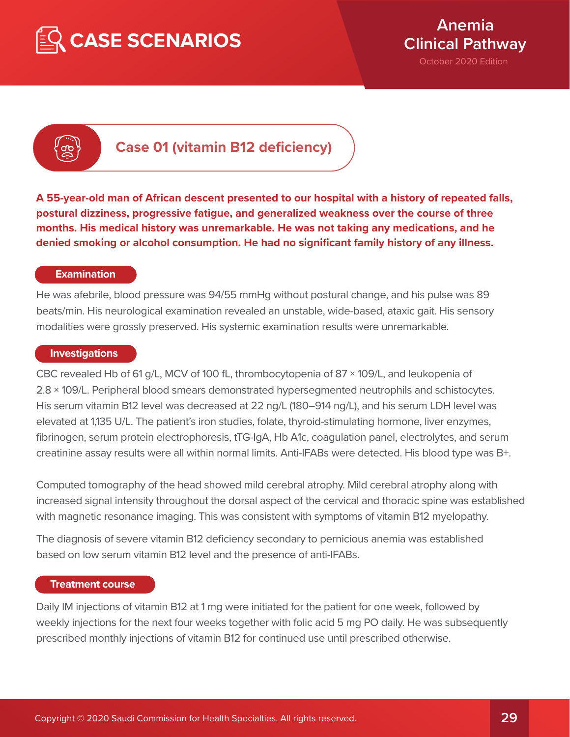



**Case 01 (vitamin B12 deficiency)**

**A 55-year-old man of African descent presented to our hospital with a history of repeated falls, postural dizziness, progressive fatigue, and generalized weakness over the course of three months. His medical history was unremarkable. He was not taking any medications, and he denied smoking or alcohol consumption. He had no significant family history of any illness.**

#### **Examination**

He was afebrile, blood pressure was 94/55 mmHg without postural change, and his pulse was 89 beats/min. His neurological examination revealed an unstable, wide-based, ataxic gait. His sensory modalities were grossly preserved. His systemic examination results were unremarkable.

#### **Investigations**

CBC revealed Hb of 61 g/L, MCV of 100 fL, thrombocytopenia of 87 × 109/L, and leukopenia of 2.8 × 109/L. Peripheral blood smears demonstrated hypersegmented neutrophils and schistocytes. His serum vitamin B12 level was decreased at 22 ng/L (180–914 ng/L), and his serum LDH level was elevated at 1,135 U/L. The patient's iron studies, folate, thyroid-stimulating hormone, liver enzymes, fibrinogen, serum protein electrophoresis, tTG-IgA, Hb A1c, coagulation panel, electrolytes, and serum creatinine assay results were all within normal limits. Anti-IFABs were detected. His blood type was B+.

Computed tomography of the head showed mild cerebral atrophy. Mild cerebral atrophy along with increased signal intensity throughout the dorsal aspect of the cervical and thoracic spine was established with magnetic resonance imaging. This was consistent with symptoms of vitamin B12 myelopathy.

The diagnosis of severe vitamin B12 deficiency secondary to pernicious anemia was established based on low serum vitamin B12 level and the presence of anti-IFABs.

#### **Treatment course**

Daily IM injections of vitamin B12 at 1 mg were initiated for the patient for one week, followed by weekly injections for the next four weeks together with folic acid 5 mg PO daily. He was subsequently prescribed monthly injections of vitamin B12 for continued use until prescribed otherwise.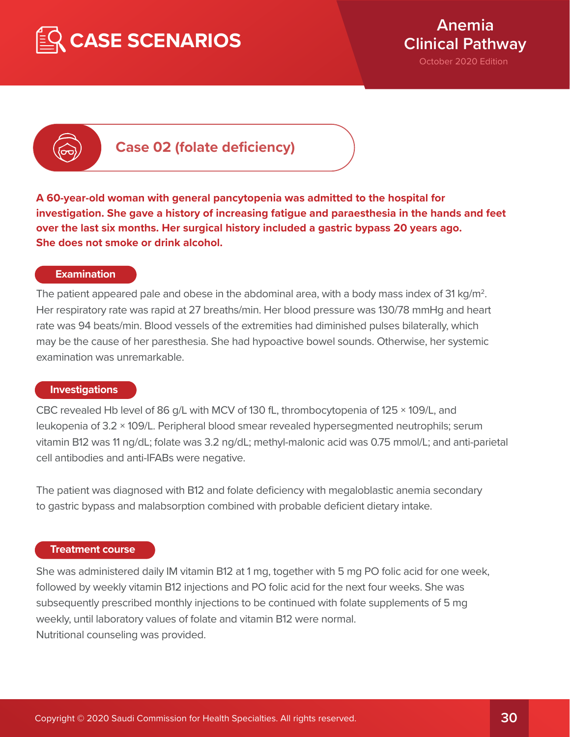



**Case 02 (folate deficiency)**

**A 60-year-old woman with general pancytopenia was admitted to the hospital for investigation. She gave a history of increasing fatigue and paraesthesia in the hands and feet over the last six months. Her surgical history included a gastric bypass 20 years ago. She does not smoke or drink alcohol.** 

#### **Examination**

The patient appeared pale and obese in the abdominal area, with a body mass index of 31 kg/m<sup>2</sup>. Her respiratory rate was rapid at 27 breaths/min. Her blood pressure was 130/78 mmHg and heart rate was 94 beats/min. Blood vessels of the extremities had diminished pulses bilaterally, which may be the cause of her paresthesia. She had hypoactive bowel sounds. Otherwise, her systemic examination was unremarkable.

#### **Investigations**

CBC revealed Hb level of 86 g/L with MCV of 130 fL, thrombocytopenia of 125 × 109/L, and leukopenia of 3.2 × 109/L. Peripheral blood smear revealed hypersegmented neutrophils; serum vitamin B12 was 11 ng/dL; folate was 3.2 ng/dL; methyl-malonic acid was 0.75 mmol/L; and anti-parietal cell antibodies and anti-IFABs were negative.

The patient was diagnosed with B12 and folate deficiency with megaloblastic anemia secondary to gastric bypass and malabsorption combined with probable deficient dietary intake.

#### **Treatment course**

She was administered daily IM vitamin B12 at 1 mg, together with 5 mg PO folic acid for one week, followed by weekly vitamin B12 injections and PO folic acid for the next four weeks. She was subsequently prescribed monthly injections to be continued with folate supplements of 5 mg weekly, until laboratory values of folate and vitamin B12 were normal. Nutritional counseling was provided.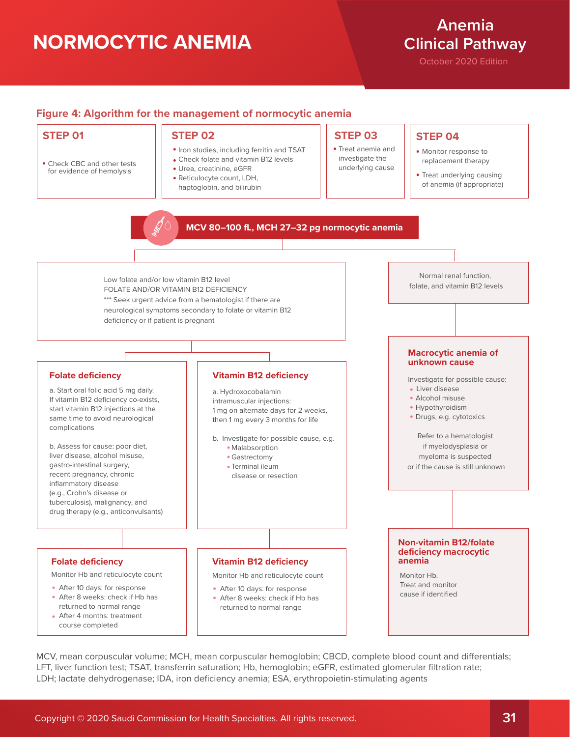# **NORMOCYTIC ANEMIA**

# **Anemia Clinical Pathway**

October 2020 Edition

### **Figure 4: Algorithm for the management of normocytic anemia**

• Check CBC and other tests for evidence of hemolysis

- Iron studies, including ferritin and TSAT
- Check folate and vitamin B12 levels Urea, creatinine, eGFR
- Reticulocyte count, LDH, haptoglobin, and bilirubin

## **STEP 01 STEP 02 STEP 03 STEP 04**

Treat anemia and investigate the underlying cause

- Monitor response to replacement therapy
- Treat underlying causing of anemia (if appropriate)

#### **MCV 80–100 fL, MCH 27–32 pg normocytic anemia**

Low folate and/or low vitamin B12 level FOLATE AND/OR VITAMIN B12 DEFICIENCY \*\*\* Seek urgent advice from a hematologist if there are neurological symptoms secondary to folate or vitamin B12 deficiency or if patient is pregnant

#### **Folate deficiency**

a. Start oral folic acid 5 mg daily. If vitamin B12 deficiency co-exists, start vitamin B12 injections at the same time to avoid neurological complications

b. Assess for cause: poor diet, liver disease, alcohol misuse, gastro-intestinal surgery, recent pregnancy, chronic inflammatory disease (e.g., Crohn's disease or tuberculosis), malignancy, and drug therapy (e.g., anticonvulsants)

Monitor Hb and reticulocyte count

- After 10 days: for response
- After 8 weeks: check if Hb has returned to normal range After 4 months: treatment
- course completed

#### **Vitamin B12 deficiency**

a. Hydroxocobalamin intramuscular injections: 1 mg on alternate days for 2 weeks, then 1 mg every 3 months for life

b. Investigate for possible cause, e.g.

- · Malabsorption Gastrectomy
- Terminal ileum
- disease or resection

#### **Folate deficiency Vitamin B12 deficiency**

Monitor Hb and reticulocyte count

- After 10 days: for response
- After 8 weeks: check if Hb has returned to normal range

#### **Macrocytic anemia of unknown cause**

Normal renal function, folate, and vitamin B12 levels

Investigate for possible cause:

- Liver disease
- Alcohol misuse
- Hypothyroidism
- Drugs, e.g. cytotoxics

Refer to a hematologist if myelodysplasia or myeloma is suspected or if the cause is still unknown

#### **Non-vitamin B12/folate deficiency macrocytic anemia**

Monitor Hb. Treat and monitor cause if identified

MCV, mean corpuscular volume; MCH, mean corpuscular hemoglobin; CBCD, complete blood count and differentials; LFT, liver function test; TSAT, transferrin saturation; Hb, hemoglobin; eGFR, estimated glomerular filtration rate; LDH; lactate dehydrogenase; IDA, iron deficiency anemia; ESA, erythropoietin-stimulating agents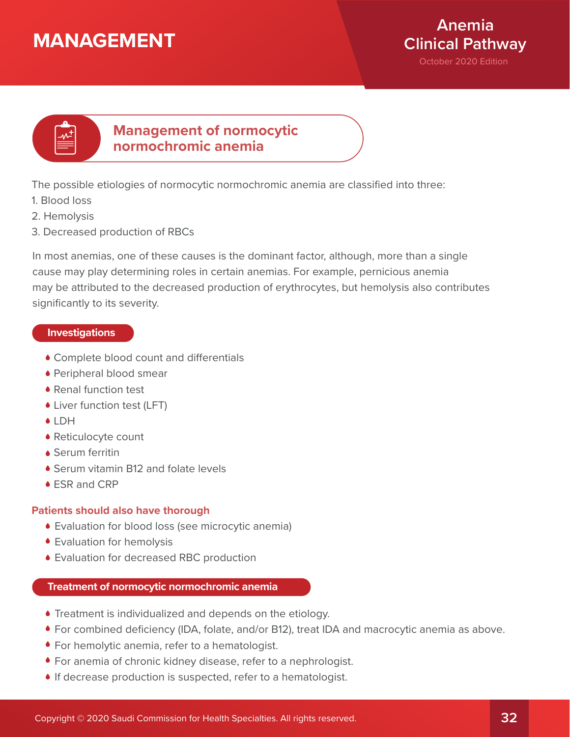# **MANAGEMENT**



# **Management of normocytic normochromic anemia**

The possible etiologies of normocytic normochromic anemia are classified into three:

- 1. Blood loss
- 2. Hemolysis
- 3. Decreased production of RBCs

In most anemias, one of these causes is the dominant factor, although, more than a single cause may play determining roles in certain anemias. For example, pernicious anemia may be attributed to the decreased production of erythrocytes, but hemolysis also contributes significantly to its severity.

## **Investigations**

- Complete blood count and differentials
- Peripheral blood smear
- Renal function test
- Liver function test (LFT)
- **◆ LDH**
- Reticulocyte count
- Serum ferritin
- ◆ Serum vitamin B12 and folate levels
- ESR and CRP

### **Patients should also have thorough**

- Evaluation for blood loss (see microcytic anemia)
- Evaluation for hemolysis
- Evaluation for decreased RBC production

### **Treatment of normocytic normochromic anemia**

- Treatment is individualized and depends on the etiology.
- For combined deficiency (IDA, folate, and/or B12), treat IDA and macrocytic anemia as above.
- For hemolytic anemia, refer to a hematologist.
- For anemia of chronic kidney disease, refer to a nephrologist.
- If decrease production is suspected, refer to a hematologist.